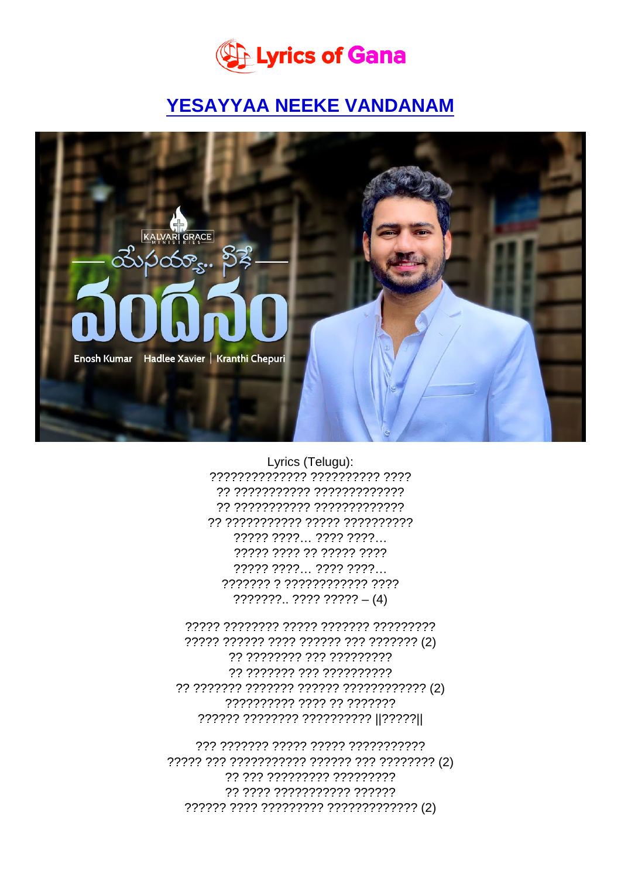Lyrics (Telugu):

?????????????? ?????????? ???? ?? ??????????? ????????????? ?? ??????????? ????????????? ?? ??????????? ????? ?????????? ????? ????... ???? ????... ????? ???? ?? ????? ???? ????? ????... ???? ????... ??????? ? ???????????? ????  $???????$ ...????????? - (4)

????? ?????? ???? ?????? ??? ??????? (2) ?? ???????? ??? ????????? ?? ??????? ??? ?????????? ?????????? ???? ?? ??????? ?????? ???????? ?????????? ||????? ||

??? ??????? ????? ????? ??????????? ?? ??? ????????? ????????? ?? ???? ??????????? ?????? ?????? ???? ????????? ????????????? (2)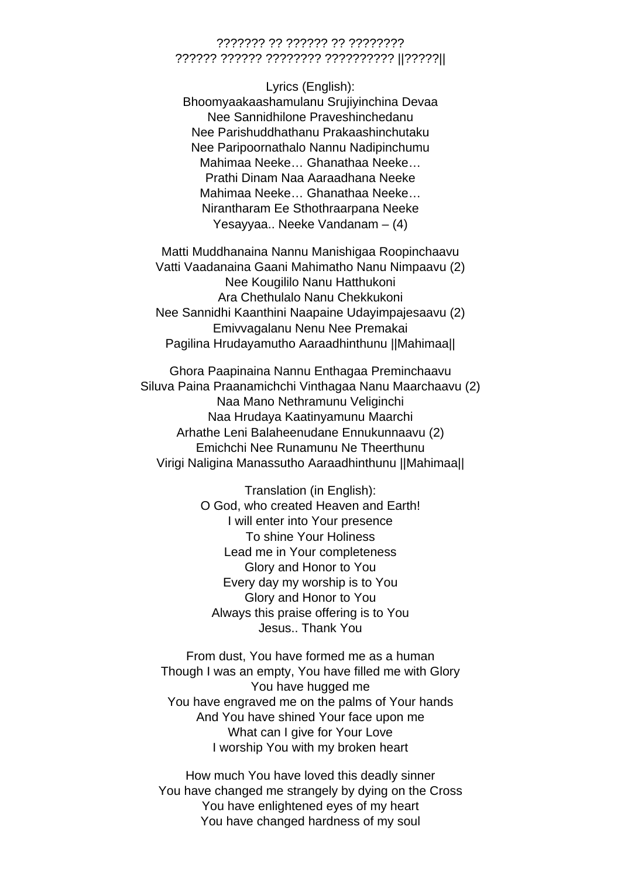## ??????? ?? ?????? ?? ???????? ?????? ?????? ???????? ?????????? ||?????||

Lyrics (English): Bhoomyaakaashamulanu Srujiyinchina Devaa Nee Sannidhilone Praveshinchedanu Nee Parishuddhathanu Prakaashinchutaku Nee Paripoornathalo Nannu Nadipinchumu Mahimaa Neeke… Ghanathaa Neeke… Prathi Dinam Naa Aaraadhana Neeke Mahimaa Neeke… Ghanathaa Neeke… Nirantharam Ee Sthothraarpana Neeke Yesayyaa.. Neeke Vandanam – (4)

Matti Muddhanaina Nannu Manishigaa Roopinchaavu Vatti Vaadanaina Gaani Mahimatho Nanu Nimpaavu (2) Nee Kougililo Nanu Hatthukoni Ara Chethulalo Nanu Chekkukoni Nee Sannidhi Kaanthini Naapaine Udayimpajesaavu (2) Emivvagalanu Nenu Nee Premakai Pagilina Hrudayamutho Aaraadhinthunu ||Mahimaa||

Ghora Paapinaina Nannu Enthagaa Preminchaavu Siluva Paina Praanamichchi Vinthagaa Nanu Maarchaavu (2) Naa Mano Nethramunu Veliginchi Naa Hrudaya Kaatinyamunu Maarchi Arhathe Leni Balaheenudane Ennukunnaavu (2) Emichchi Nee Runamunu Ne Theerthunu Virigi Naligina Manassutho Aaraadhinthunu ||Mahimaa||

> Translation (in English): O God, who created Heaven and Earth! I will enter into Your presence To shine Your Holiness Lead me in Your completeness Glory and Honor to You Every day my worship is to You Glory and Honor to You Always this praise offering is to You Jesus.. Thank You

From dust, You have formed me as a human Though I was an empty, You have filled me with Glory You have hugged me You have engraved me on the palms of Your hands And You have shined Your face upon me What can I give for Your Love I worship You with my broken heart

How much You have loved this deadly sinner You have changed me strangely by dying on the Cross You have enlightened eyes of my heart You have changed hardness of my soul